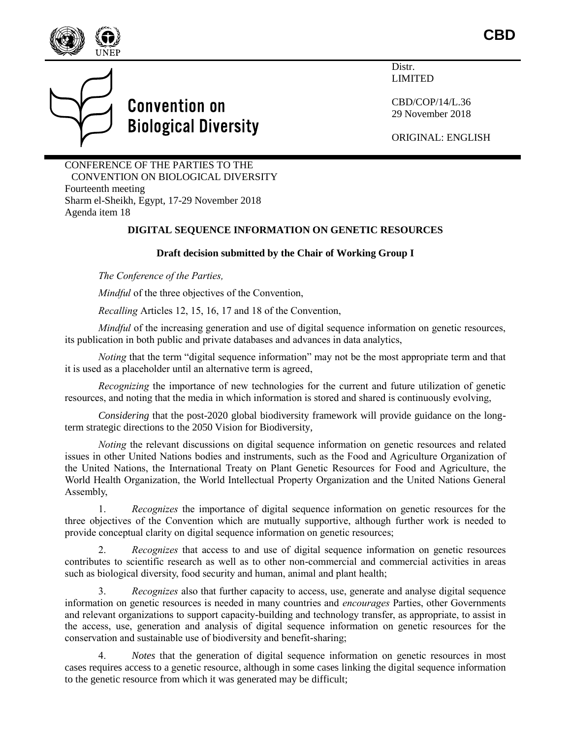

## **Convention on Biological Diversity**

Distr. LIMITED

CBD/COP/14/L.36 29 November 2018

ORIGINAL: ENGLISH

CONFERENCE OF THE PARTIES TO THE CONVENTION ON BIOLOGICAL DIVERSITY Fourteenth meeting Sharm el-Sheikh, Egypt, 17-29 November 2018 Agenda item 18

## **DIGITAL SEQUENCE INFORMATION ON GENETIC RESOURCES**

## **Draft decision submitted by the Chair of Working Group I**

*The Conference of the Parties,*

*Mindful* of the three objectives of the Convention,

*Recalling* Articles 12, 15, 16, 17 and 18 of the Convention,

*Mindful* of the increasing generation and use of digital sequence information on genetic resources, its publication in both public and private databases and advances in data analytics,

*Noting* that the term "digital sequence information" may not be the most appropriate term and that it is used as a placeholder until an alternative term is agreed,

*Recognizing* the importance of new technologies for the current and future utilization of genetic resources, and noting that the media in which information is stored and shared is continuously evolving,

*Considering* that the post-2020 global biodiversity framework will provide guidance on the longterm strategic directions to the 2050 Vision for Biodiversity,

*Noting* the relevant discussions on digital sequence information on genetic resources and related issues in other United Nations bodies and instruments, such as the Food and Agriculture Organization of the United Nations, the International Treaty on Plant Genetic Resources for Food and Agriculture, the World Health Organization, the World Intellectual Property Organization and the United Nations General Assembly,

1. *Recognizes* the importance of digital sequence information on genetic resources for the three objectives of the Convention which are mutually supportive, although further work is needed to provide conceptual clarity on digital sequence information on genetic resources;

2. *Recognizes* that access to and use of digital sequence information on genetic resources contributes to scientific research as well as to other non-commercial and commercial activities in areas such as biological diversity, food security and human, animal and plant health;

3. *Recognizes* also that further capacity to access, use, generate and analyse digital sequence information on genetic resources is needed in many countries and *encourages* Parties, other Governments and relevant organizations to support capacity-building and technology transfer, as appropriate, to assist in the access, use, generation and analysis of digital sequence information on genetic resources for the conservation and sustainable use of biodiversity and benefit-sharing;

4. *Notes* that the generation of digital sequence information on genetic resources in most cases requires access to a genetic resource, although in some cases linking the digital sequence information to the genetic resource from which it was generated may be difficult;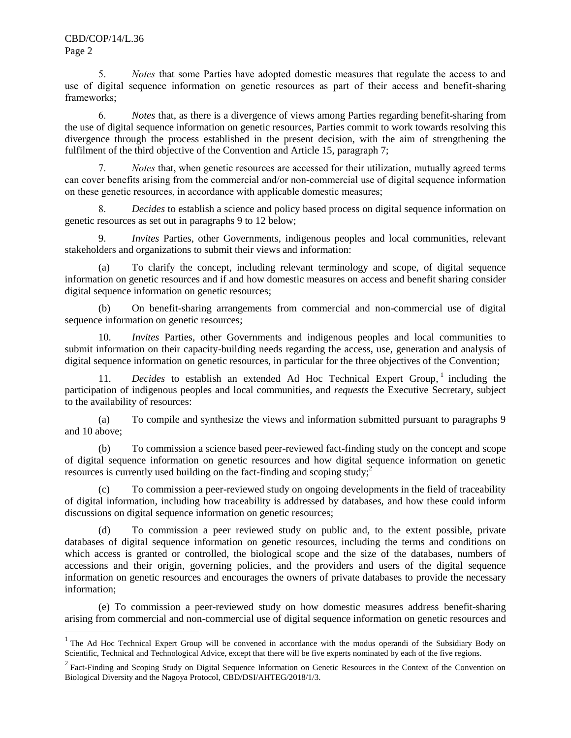$\overline{a}$ 

5. *Notes* that some Parties have adopted domestic measures that regulate the access to and use of digital sequence information on genetic resources as part of their access and benefit-sharing frameworks;

6. *Notes* that, as there is a divergence of views among Parties regarding benefit-sharing from the use of digital sequence information on genetic resources, Parties commit to work towards resolving this divergence through the process established in the present decision, with the aim of strengthening the fulfilment of the third objective of the Convention and Article 15, paragraph 7;

7. *Notes* that, when genetic resources are accessed for their utilization, mutually agreed terms can cover benefits arising from the commercial and/or non-commercial use of digital sequence information on these genetic resources, in accordance with applicable domestic measures;

8. *Decides* to establish a science and policy based process on digital sequence information on genetic resources as set out in paragraphs 9 to 12 below;

9. *Invites* Parties, other Governments, indigenous peoples and local communities, relevant stakeholders and organizations to submit their views and information:

(a) To clarify the concept, including relevant terminology and scope, of digital sequence information on genetic resources and if and how domestic measures on access and benefit sharing consider digital sequence information on genetic resources;

(b) On benefit-sharing arrangements from commercial and non-commercial use of digital sequence information on genetic resources;

10. *Invites* Parties, other Governments and indigenous peoples and local communities to submit information on their capacity-building needs regarding the access, use, generation and analysis of digital sequence information on genetic resources, in particular for the three objectives of the Convention;

11. *Decides* to establish an extended Ad Hoc Technical Expert Group,<sup>1</sup> including the participation of indigenous peoples and local communities, and *requests* the Executive Secretary, subject to the availability of resources:

(a) To compile and synthesize the views and information submitted pursuant to paragraphs 9 and 10 above;

(b) To commission a science based peer-reviewed fact-finding study on the concept and scope of digital sequence information on genetic resources and how digital sequence information on genetic resources is currently used building on the fact-finding and scoping study; 2

(c) To commission a peer-reviewed study on ongoing developments in the field of traceability of digital information, including how traceability is addressed by databases, and how these could inform discussions on digital sequence information on genetic resources;

(d) To commission a peer reviewed study on public and, to the extent possible, private databases of digital sequence information on genetic resources, including the terms and conditions on which access is granted or controlled, the biological scope and the size of the databases, numbers of accessions and their origin, governing policies, and the providers and users of the digital sequence information on genetic resources and encourages the owners of private databases to provide the necessary information;

(e) To commission a peer-reviewed study on how domestic measures address benefit-sharing arising from commercial and non-commercial use of digital sequence information on genetic resources and

<sup>&</sup>lt;sup>1</sup> The Ad Hoc Technical Expert Group will be convened in accordance with the modus operandi of the Subsidiary Body on Scientific, Technical and Technological Advice, except that there will be five experts nominated by each of the five regions.

 $2^2$  Fact-Finding and Scoping Study on Digital Sequence Information on Genetic Resources in the Context of the Convention on Biological Diversity and the Nagoya Protocol, CBD/DSI/AHTEG/2018/1/3.